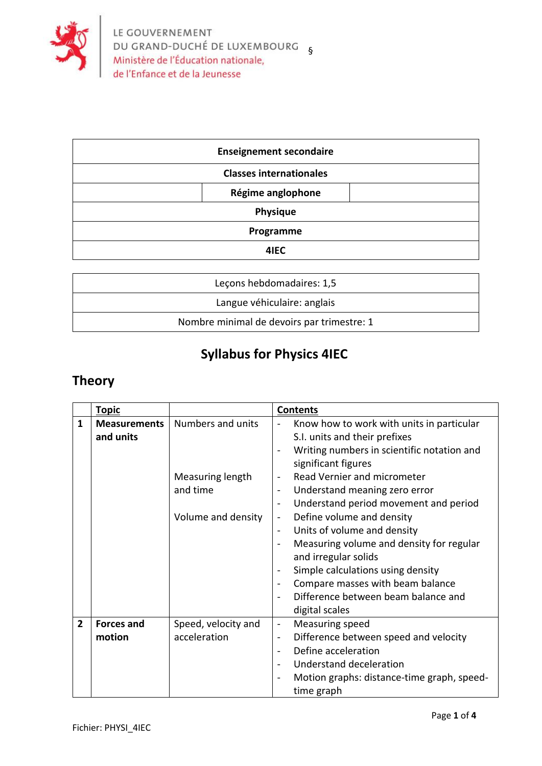

| <b>Enseignement secondaire</b> |                   |  |
|--------------------------------|-------------------|--|
| <b>Classes internationales</b> |                   |  |
|                                | Régime anglophone |  |
| Physique                       |                   |  |
| Programme                      |                   |  |
| 4IEC                           |                   |  |

| Lecons hebdomadaires: 1,5                  |
|--------------------------------------------|
| Langue véhiculaire: anglais                |
| Nombre minimal de devoirs par trimestre: 1 |

## **Syllabus for Physics 4IEC**

## **Theory**

|                | <b>Topic</b>                     |                                                                         | <b>Contents</b>                                                                                                                                                                                                                                                                                                                                                                                                                                                                                                                                                                                                                                                                                                                                     |
|----------------|----------------------------------|-------------------------------------------------------------------------|-----------------------------------------------------------------------------------------------------------------------------------------------------------------------------------------------------------------------------------------------------------------------------------------------------------------------------------------------------------------------------------------------------------------------------------------------------------------------------------------------------------------------------------------------------------------------------------------------------------------------------------------------------------------------------------------------------------------------------------------------------|
| 1              | <b>Measurements</b><br>and units | Numbers and units<br>Measuring length<br>and time<br>Volume and density | Know how to work with units in particular<br>S.I. units and their prefixes<br>Writing numbers in scientific notation and<br>$\overline{\phantom{a}}$<br>significant figures<br>Read Vernier and micrometer<br>$\overline{\phantom{a}}$<br>Understand meaning zero error<br>$\qquad \qquad -$<br>Understand period movement and period<br>$\overline{\phantom{a}}$<br>Define volume and density<br>$\overline{\phantom{0}}$<br>Units of volume and density<br>$\overline{\phantom{a}}$<br>Measuring volume and density for regular<br>$\overline{\phantom{a}}$<br>and irregular solids<br>Simple calculations using density<br>Compare masses with beam balance<br>$\overline{\phantom{a}}$<br>Difference between beam balance and<br>digital scales |
| $\overline{2}$ | <b>Forces and</b><br>motion      | Speed, velocity and<br>acceleration                                     | Measuring speed<br>$\blacksquare$<br>Difference between speed and velocity<br>$\overline{\phantom{0}}$<br>Define acceleration<br>$\overline{\phantom{a}}$<br>Understand deceleration<br>$\overline{\phantom{a}}$<br>Motion graphs: distance-time graph, speed-<br>time graph                                                                                                                                                                                                                                                                                                                                                                                                                                                                        |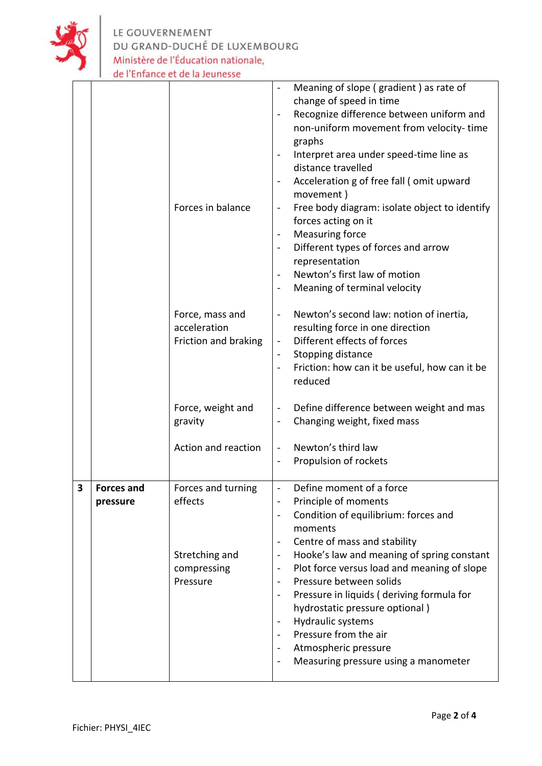

LE GOUVERNEMENT<br>DU GRAND-DUCHÉ DE LUXEMBOURG<br>Ministère de l'Éducation nationale,<br>de l'Enfance et de la Jeunesse

|   |                               | Forces in balance<br>Force, mass and<br>acceleration<br>Friction and braking | Meaning of slope (gradient) as rate of<br>$\overline{\phantom{a}}$<br>change of speed in time<br>Recognize difference between uniform and<br>non-uniform movement from velocity-time<br>graphs<br>Interpret area under speed-time line as<br>distance travelled<br>Acceleration g of free fall (omit upward<br>movement)<br>Free body diagram: isolate object to identify<br>forces acting on it<br><b>Measuring force</b><br>Different types of forces and arrow<br>$\blacksquare$<br>representation<br>Newton's first law of motion<br>Meaning of terminal velocity<br>Newton's second law: notion of inertia,<br>$\overline{\phantom{a}}$<br>resulting force in one direction<br>Different effects of forces<br>$\blacksquare$<br>Stopping distance<br>$\blacksquare$<br>Friction: how can it be useful, how can it be<br>reduced |
|---|-------------------------------|------------------------------------------------------------------------------|--------------------------------------------------------------------------------------------------------------------------------------------------------------------------------------------------------------------------------------------------------------------------------------------------------------------------------------------------------------------------------------------------------------------------------------------------------------------------------------------------------------------------------------------------------------------------------------------------------------------------------------------------------------------------------------------------------------------------------------------------------------------------------------------------------------------------------------|
|   |                               | Force, weight and<br>gravity                                                 | Define difference between weight and mas<br>$\qquad \qquad \blacksquare$<br>Changing weight, fixed mass<br>$\overline{\phantom{a}}$                                                                                                                                                                                                                                                                                                                                                                                                                                                                                                                                                                                                                                                                                                  |
|   |                               | Action and reaction                                                          | Newton's third law<br>$\blacksquare$<br>Propulsion of rockets<br>$\blacksquare$                                                                                                                                                                                                                                                                                                                                                                                                                                                                                                                                                                                                                                                                                                                                                      |
| 3 | <b>Forces and</b><br>pressure | Forces and turning<br>effects<br>Stretching and<br>compressing<br>Pressure   | Define moment of a force<br>$\qquad \qquad \blacksquare$<br>Principle of moments<br>Condition of equilibrium: forces and<br>$\blacksquare$<br>moments<br>Centre of mass and stability<br>$\overline{\phantom{a}}$<br>Hooke's law and meaning of spring constant<br>$\blacksquare$<br>Plot force versus load and meaning of slope<br>$\blacksquare$<br>Pressure between solids<br>$\blacksquare$<br>Pressure in liquids (deriving formula for<br>$\blacksquare$<br>hydrostatic pressure optional)<br>Hydraulic systems<br>Pressure from the air<br>$\blacksquare$<br>Atmospheric pressure<br>Measuring pressure using a manometer<br>$\blacksquare$                                                                                                                                                                                   |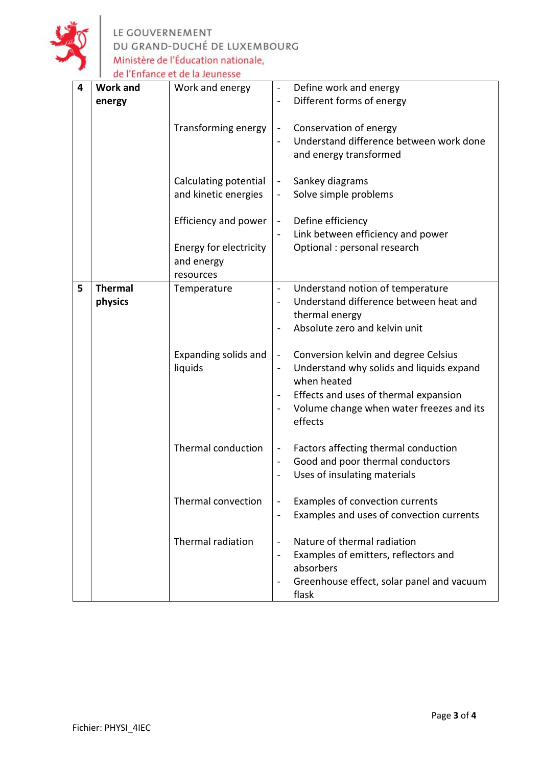

| 4 | <b>Work and</b> | Work and energy            | Define work and energy<br>$\blacksquare$                                 |
|---|-----------------|----------------------------|--------------------------------------------------------------------------|
|   | energy          |                            | Different forms of energy<br>$\qquad \qquad \blacksquare$                |
|   |                 |                            |                                                                          |
|   |                 |                            |                                                                          |
|   |                 | <b>Transforming energy</b> | Conservation of energy<br>$\qquad \qquad \blacksquare$                   |
|   |                 |                            | Understand difference between work done                                  |
|   |                 |                            | and energy transformed                                                   |
|   |                 |                            |                                                                          |
|   |                 |                            |                                                                          |
|   |                 | Calculating potential      | Sankey diagrams<br>$\qquad \qquad \blacksquare$                          |
|   |                 | and kinetic energies       | Solve simple problems<br>$\overline{\phantom{0}}$                        |
|   |                 |                            |                                                                          |
|   |                 | Efficiency and power       | Define efficiency<br>$\blacksquare$                                      |
|   |                 |                            | Link between efficiency and power<br>$\overline{\phantom{a}}$            |
|   |                 |                            |                                                                          |
|   |                 | Energy for electricity     | Optional : personal research                                             |
|   |                 | and energy                 |                                                                          |
|   |                 | resources                  |                                                                          |
| 5 | <b>Thermal</b>  | Temperature                | Understand notion of temperature<br>$\blacksquare$                       |
|   | physics         |                            | Understand difference between heat and                                   |
|   |                 |                            |                                                                          |
|   |                 |                            | thermal energy                                                           |
|   |                 |                            | Absolute zero and kelvin unit                                            |
|   |                 |                            |                                                                          |
|   |                 | Expanding solids and       | Conversion kelvin and degree Celsius<br>$\blacksquare$                   |
|   |                 | liquids                    | Understand why solids and liquids expand<br>$\qquad \qquad \blacksquare$ |
|   |                 |                            | when heated                                                              |
|   |                 |                            |                                                                          |
|   |                 |                            | Effects and uses of thermal expansion<br>$\blacksquare$                  |
|   |                 |                            | Volume change when water freezes and its<br>$\blacksquare$               |
|   |                 |                            | effects                                                                  |
|   |                 |                            |                                                                          |
|   |                 | Thermal conduction         | Factors affecting thermal conduction<br>$\qquad \qquad \blacksquare$     |
|   |                 |                            |                                                                          |
|   |                 |                            | Good and poor thermal conductors<br>$\blacksquare$                       |
|   |                 |                            | Uses of insulating materials<br>$\qquad \qquad$                          |
|   |                 |                            |                                                                          |
|   |                 | Thermal convection         | Examples of convection currents<br>$\qquad \qquad \blacksquare$          |
|   |                 |                            | Examples and uses of convection currents<br>$\blacksquare$               |
|   |                 |                            |                                                                          |
|   |                 |                            |                                                                          |
|   |                 | Thermal radiation          | Nature of thermal radiation<br>$\overline{a}$                            |
|   |                 |                            | Examples of emitters, reflectors and<br>$\overline{\phantom{0}}$         |
|   |                 |                            | absorbers                                                                |
|   |                 |                            | Greenhouse effect, solar panel and vacuum<br>$\qquad \qquad$             |
|   |                 |                            | flask                                                                    |
|   |                 |                            |                                                                          |